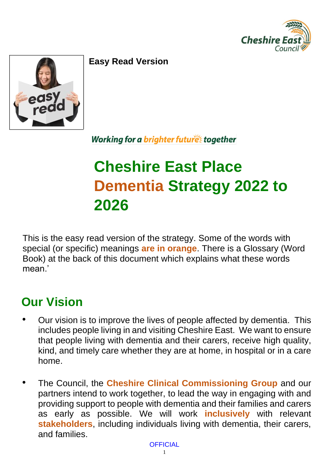



**Easy Read Version**

#### Working for a brighter futures together

# **Cheshire East Place Dementia Strategy 2022 to 2026**

This is the easy read version of the strategy. Some of the words with special (or specific) meanings **are in orange**. There is a Glossary (Word Book) at the back of this document which explains what these words mean<sup>'</sup>

# **Our Vision**

- Our vision is to improve the lives of people affected by dementia. This includes people living in and visiting Cheshire East. We want to ensure that people living with dementia and their carers, receive high quality, kind, and timely care whether they are at home, in hospital or in a care home.
- The Council, the **Cheshire Clinical Commissioning Group** and our partners intend to work together, to lead the way in engaging with and providing support to people with dementia and their families and carers as early as possible. We will work **inclusively** with relevant **stakeholders**, including individuals living with dementia, their carers, and families.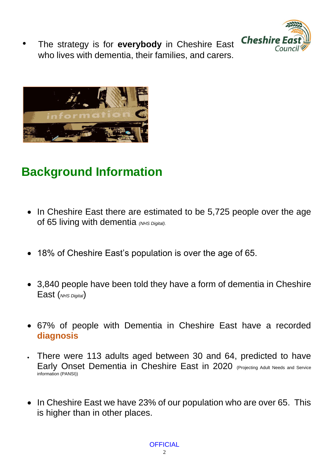

• The strategy is for **everybody** in Cheshire East who lives with dementia, their families, and carers.



# **Background Information**

- In Cheshire East there are estimated to be 5,725 people over the age of 65 living with dementia *(NHS Digital).*
- 18% of Cheshire East's population is over the age of 65.
- 3,840 people have been told they have a form of dementia in Cheshire East (*NHS Digital*)
- 67% of people with Dementia in Cheshire East have a recorded **diagnosis**
- There were 113 adults aged between 30 and 64, predicted to have Early Onset Dementia in Cheshire East in 2020 (Projecting Adult Needs and Service information (PANSI))
- In Cheshire East we have 23% of our population who are over 65. This is higher than in other places.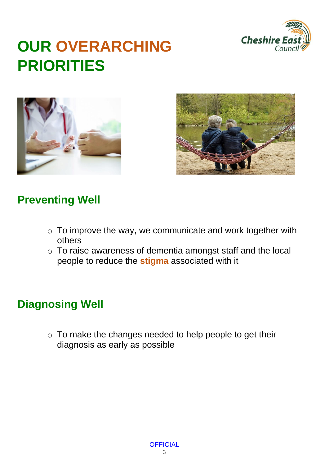

# **OUR OVERARCHING PRIORITIES**





#### **Preventing Well**

- $\circ$  To improve the way, we communicate and work together with others
- $\circ$  To raise awareness of dementia amongst staff and the local people to reduce the **stigma** associated with it

### **Diagnosing Well**

o To make the changes needed to help people to get their diagnosis as early as possible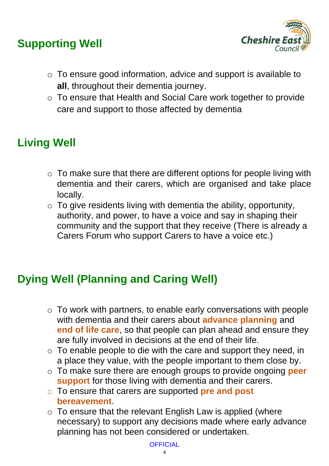#### **Supporting Well**



- o To ensure good information, advice and support is available to **all**, throughout their dementia journey.
- o To ensure that Health and Social Care work together to provide care and support to those affected by dementia

## **Living Well**

- $\circ$  To make sure that there are different options for people living with dementia and their carers, which are organised and take place locally.
- $\circ$  To give residents living with dementia the ability, opportunity, authority, and power, to have a voice and say in shaping their community and the support that they receive (There is already a Carers Forum who support Carers to have a voice etc.)

#### **Dying Well (Planning and Caring Well)**

- $\circ$  To work with partners, to enable early conversations with people with dementia and their carers about **advance planning** and **end of life care**, so that people can plan ahead and ensure they are fully involved in decisions at the end of their life.
- $\circ$  To enable people to die with the care and support they need, in a place they value, with the people important to them close by.
- o To make sure there are enough groups to provide ongoing **peer support** for those living with dementia and their carers.
- o To ensure that carers are supported **pre and post bereavement**.
- $\circ$  To ensure that the relevant English Law is applied (where necessary) to support any decisions made where early advance planning has not been considered or undertaken.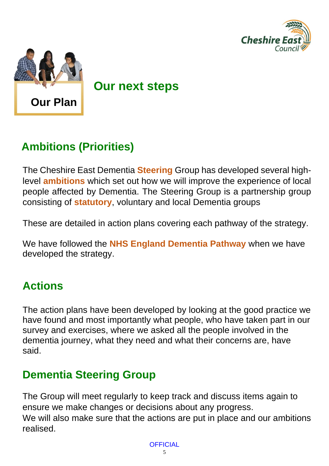



**Our next steps** 

### **Ambitions (Priorities)**

The Cheshire East Dementia **Steering** Group has developed several highlevel **ambitions** which set out how we will improve the experience of local people affected by Dementia. The Steering Group is a partnership group consisting of **statutory**, voluntary and local Dementia groups

These are detailed in action plans covering each pathway of the strategy.

We have followed the **NHS England Dementia Pathway** when we have developed the strategy.

#### **Actions**

The action plans have been developed by looking at the good practice we have found and most importantly what people, who have taken part in our survey and exercises, where we asked all the people involved in the dementia journey, what they need and what their concerns are, have said.

#### **Dementia Steering Group**

The Group will meet regularly to keep track and discuss items again to ensure we make changes or decisions about any progress. We will also make sure that the actions are put in place and our ambitions realised.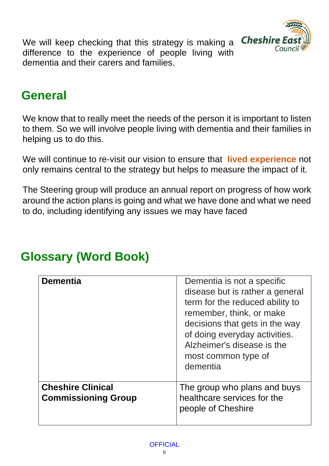

We will keep checking that this strategy is making a difference to the experience of people living with dementia and their carers and families.

# **General**

We know that to really meet the needs of the person it is important to listen to them. So we will involve people living with dementia and their families in helping us to do this.

We will continue to re-visit our vision to ensure that **lived experience** not only remains central to the strategy but helps to measure the impact of it.

The Steering group will produce an annual report on progress of how work around the action plans is going and what we have done and what we need to do, including identifying any issues we may have faced

| <b>Dementia</b>                                        | Dementia is not a specific<br>disease but is rather a general<br>term for the reduced ability to<br>remember, think, or make<br>decisions that gets in the way<br>of doing everyday activities.<br>Alzheimer's disease is the<br>most common type of<br>dementia |
|--------------------------------------------------------|------------------------------------------------------------------------------------------------------------------------------------------------------------------------------------------------------------------------------------------------------------------|
| <b>Cheshire Clinical</b><br><b>Commissioning Group</b> | The group who plans and buys<br>healthcare services for the<br>people of Cheshire                                                                                                                                                                                |

# **Glossary (Word Book)**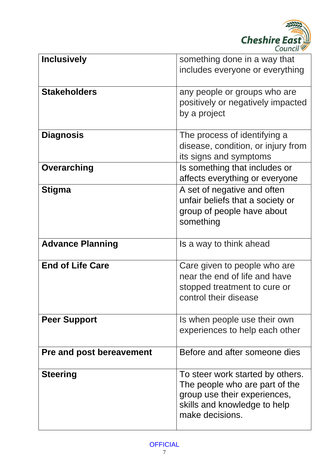

| <b>Inclusively</b>              | something done in a way that<br>includes everyone or everything                                                                                       |
|---------------------------------|-------------------------------------------------------------------------------------------------------------------------------------------------------|
| <b>Stakeholders</b>             | any people or groups who are<br>positively or negatively impacted<br>by a project                                                                     |
| <b>Diagnosis</b>                | The process of identifying a<br>disease, condition, or injury from<br>its signs and symptoms                                                          |
| <b>Overarching</b>              | Is something that includes or<br>affects everything or everyone                                                                                       |
| <b>Stigma</b>                   | A set of negative and often<br>unfair beliefs that a society or<br>group of people have about<br>something                                            |
| <b>Advance Planning</b>         | Is a way to think ahead                                                                                                                               |
| <b>End of Life Care</b>         | Care given to people who are<br>near the end of life and have<br>stopped treatment to cure or<br>control their disease                                |
| <b>Peer Support</b>             | Is when people use their own<br>experiences to help each other                                                                                        |
| <b>Pre and post bereavement</b> | Before and after someone dies                                                                                                                         |
| <b>Steering</b>                 | To steer work started by others.<br>The people who are part of the<br>group use their experiences,<br>skills and knowledge to help<br>make decisions. |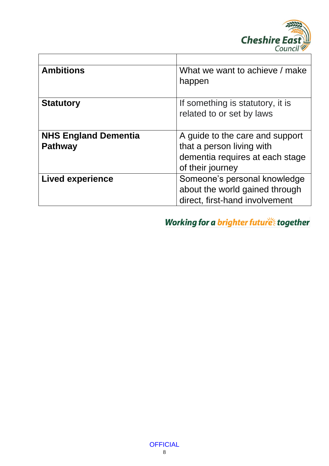

| <b>Ambitions</b>                              | What we want to achieve / make<br>happen                                                                            |
|-----------------------------------------------|---------------------------------------------------------------------------------------------------------------------|
| <b>Statutory</b>                              | If something is statutory, it is<br>related to or set by laws                                                       |
| <b>NHS England Dementia</b><br><b>Pathway</b> | A guide to the care and support<br>that a person living with<br>dementia requires at each stage<br>of their journey |
| <b>Lived experience</b>                       | Someone's personal knowledge<br>about the world gained through<br>direct, first-hand involvement                    |

Working for a brighter futures together